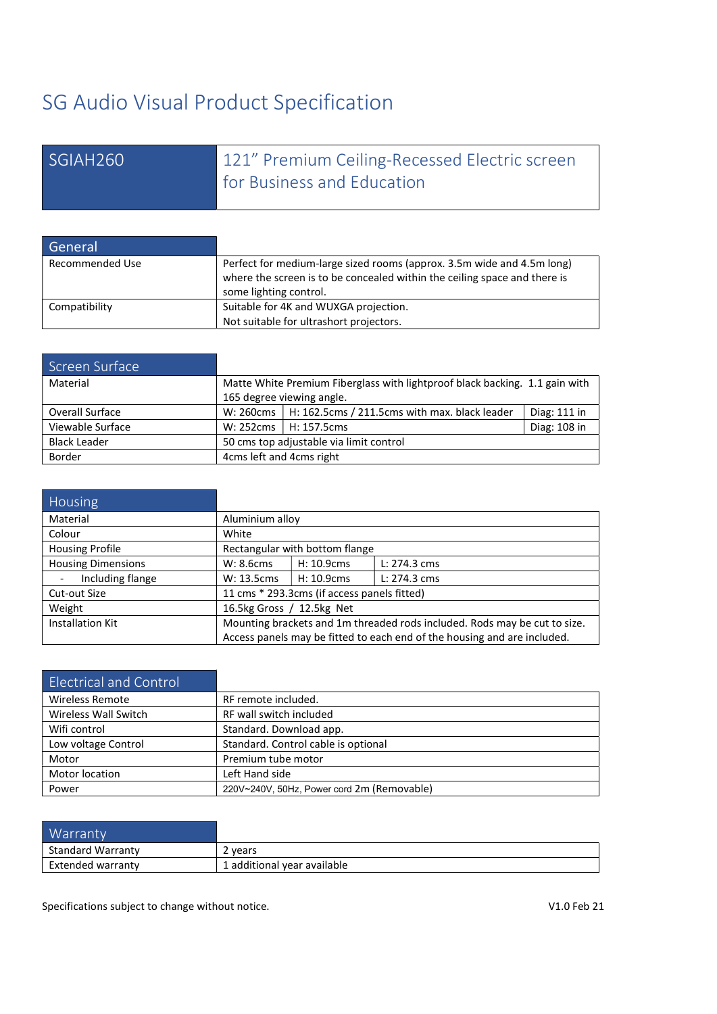# SG Audio Visual Product Specification

| SGIAH260 | 121" Premium Ceiling-Recessed Electric screen |
|----------|-----------------------------------------------|
|          | for Business and Education                    |

| General         |                                                                           |
|-----------------|---------------------------------------------------------------------------|
| Recommended Use | Perfect for medium-large sized rooms (approx. 3.5m wide and 4.5m long)    |
|                 | where the screen is to be concealed within the ceiling space and there is |
|                 | some lighting control.                                                    |
| Compatibility   | Suitable for 4K and WUXGA projection.                                     |
|                 | Not suitable for ultrashort projectors.                                   |

| Screen Surface      |                                                                             |                                                 |              |
|---------------------|-----------------------------------------------------------------------------|-------------------------------------------------|--------------|
| Material            | Matte White Premium Fiberglass with lightproof black backing. 1.1 gain with |                                                 |              |
|                     |                                                                             | 165 degree viewing angle.                       |              |
| Overall Surface     | W: 260cms                                                                   | $H: 162.5cms / 211.5cms$ with max. black leader | Diag: 111 in |
| Viewable Surface    | W: 252cms                                                                   | H: 157.5cms                                     | Diag: 108 in |
| <b>Black Leader</b> |                                                                             | 50 cms top adjustable via limit control         |              |
| Border              | 4cms left and 4cms right                                                    |                                                 |              |

| <b>Housing</b>            |                                                                           |            |              |
|---------------------------|---------------------------------------------------------------------------|------------|--------------|
| Material                  | Aluminium alloy                                                           |            |              |
| Colour                    | White                                                                     |            |              |
| <b>Housing Profile</b>    | Rectangular with bottom flange                                            |            |              |
| <b>Housing Dimensions</b> | W: 8.6cms                                                                 | H: 10.9cms | L: 274.3 cms |
| Including flange          | W: 13.5cms                                                                | H: 10.9cms | L: 274.3 cms |
| Cut-out Size              | 11 cms * 293.3cms (if access panels fitted)                               |            |              |
| Weight                    | 16.5kg Gross / 12.5kg Net                                                 |            |              |
| <b>Installation Kit</b>   | Mounting brackets and 1m threaded rods included. Rods may be cut to size. |            |              |
|                           | Access panels may be fitted to each end of the housing and are included.  |            |              |

| <b>Electrical and Control</b> |                                            |
|-------------------------------|--------------------------------------------|
| <b>Wireless Remote</b>        | RF remote included.                        |
| Wireless Wall Switch          | RF wall switch included                    |
| Wifi control                  | Standard. Download app.                    |
| Low voltage Control           | Standard. Control cable is optional        |
| Motor                         | Premium tube motor                         |
| Motor location                | Left Hand side                             |
| Power                         | 220V~240V, 50Hz, Power cord 2m (Removable) |

| <b>Warranty</b>          |                             |
|--------------------------|-----------------------------|
| <b>Standard Warranty</b> | 2 years                     |
| Extended warranty        | 1 additional year available |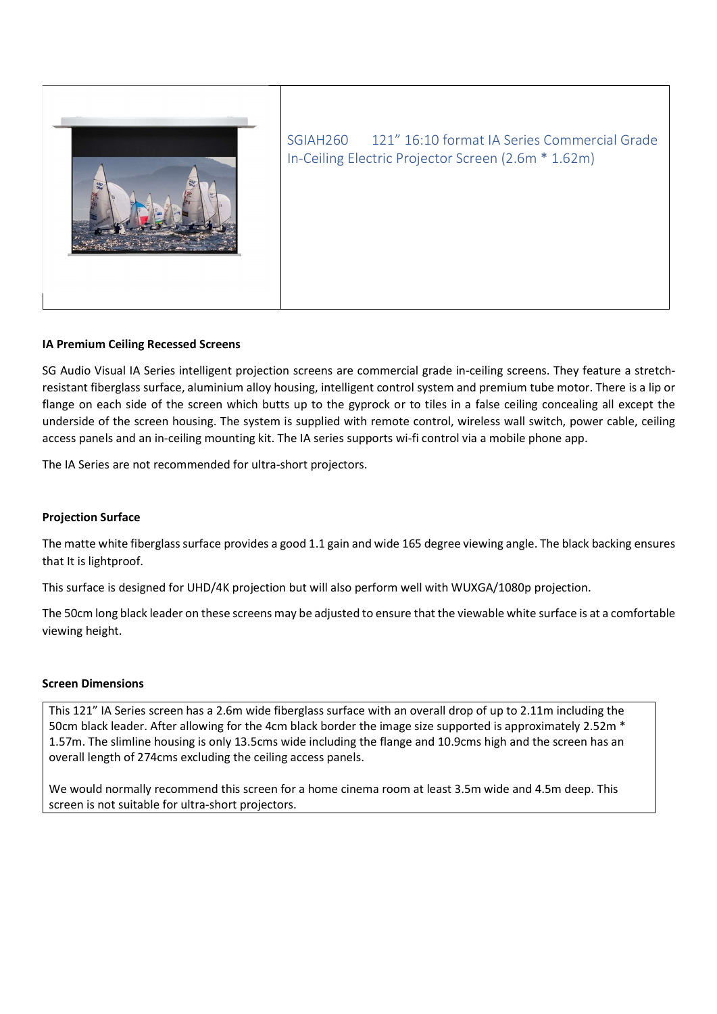

SGIAH260 121" 16:10 format IA Series Commercial Grade In-Ceiling Electric Projector Screen (2.6m \* 1.62m)

# IA Premium Ceiling Recessed Screens

SG Audio Visual IA Series intelligent projection screens are commercial grade in-ceiling screens. They feature a stretchresistant fiberglass surface, aluminium alloy housing, intelligent control system and premium tube motor. There is a lip or flange on each side of the screen which butts up to the gyprock or to tiles in a false ceiling concealing all except the underside of the screen housing. The system is supplied with remote control, wireless wall switch, power cable, ceiling access panels and an in-ceiling mounting kit. The IA series supports wi-fi control via a mobile phone app.

The IA Series are not recommended for ultra-short projectors.

### Projection Surface

The matte white fiberglass surface provides a good 1.1 gain and wide 165 degree viewing angle. The black backing ensures that It is lightproof.

This surface is designed for UHD/4K projection but will also perform well with WUXGA/1080p projection.

The 50cm long black leader on these screens may be adjusted to ensure that the viewable white surface is at a comfortable viewing height.

#### Screen Dimensions

This 121" IA Series screen has a 2.6m wide fiberglass surface with an overall drop of up to 2.11m including the 50cm black leader. After allowing for the 4cm black border the image size supported is approximately 2.52m \* 1.57m. The slimline housing is only 13.5cms wide including the flange and 10.9cms high and the screen has an overall length of 274cms excluding the ceiling access panels.

We would normally recommend this screen for a home cinema room at least 3.5m wide and 4.5m deep. This screen is not suitable for ultra-short projectors.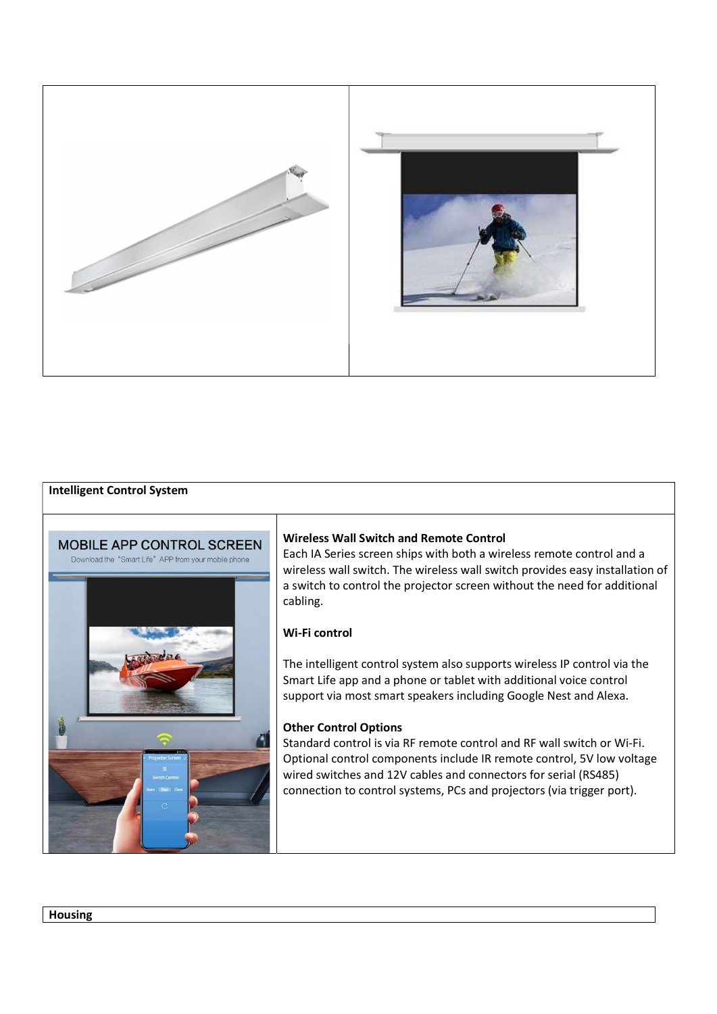

# Intelligent Control System



# Wireless Wall Switch and Remote Control

Each IA Series screen ships with both a wireless remote control and a wireless wall switch. The wireless wall switch provides easy installation of a switch to control the projector screen without the need for additional cabling.

### Wi-Fi control

The intelligent control system also supports wireless IP control via the Smart Life app and a phone or tablet with additional voice control support via most smart speakers including Google Nest and Alexa.

#### Other Control Options

Standard control is via RF remote control and RF wall switch or Wi-Fi. Optional control components include IR remote control, 5V low voltage wired switches and 12V cables and connectors for serial (RS485) connection to control systems, PCs and projectors (via trigger port).